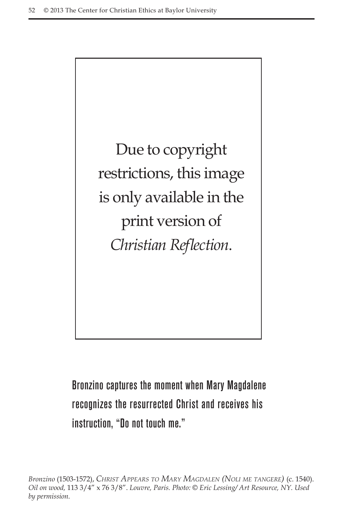

Bronzino captures the moment when Mary Magdalene recognizes the resurrected Christ and receives his instruction, "Do not touch me."